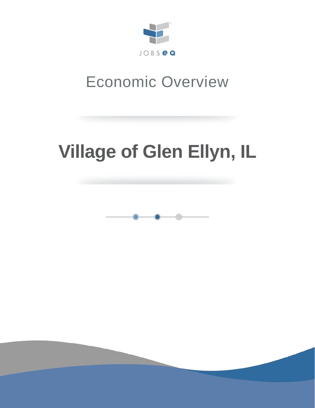

## Economic Overview

# **Village of Glen Ellyn, IL**

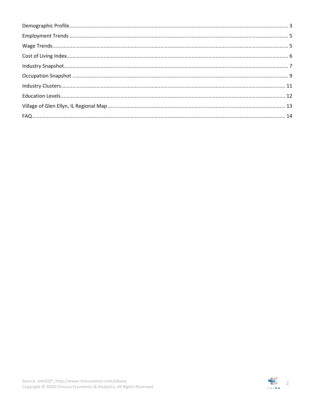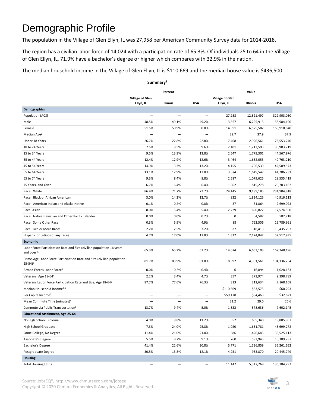### <span id="page-2-0"></span>Demographic Profile

The population in the Village of Glen Ellyn, IL was 27,958 per American Community Survey data for 2014-2018.

The region has a civilian labor force of 14,024 with a participation rate of 65.3%. Of individuals 25 to 64 in the Village of Glen Ellyn, IL, 71.9% have a bachelor's degree or higher which compares with 32.9% in the nation.

The median household income in the Village of Glen Ellyn, IL is \$110,669 and the median house value is \$436,500.

|                                                                                                  |                        | Percent                  |                          | Value                  |            |             |  |
|--------------------------------------------------------------------------------------------------|------------------------|--------------------------|--------------------------|------------------------|------------|-------------|--|
|                                                                                                  | <b>Village of Glen</b> |                          |                          | <b>Village of Glen</b> |            |             |  |
|                                                                                                  | Ellyn, IL              | Illinois                 | <b>USA</b>               | Ellyn, IL              | Illinois   | <b>USA</b>  |  |
| Demographics                                                                                     |                        |                          |                          |                        |            |             |  |
| Population (ACS)                                                                                 |                        |                          | $\overline{\phantom{0}}$ | 27,958                 | 12,821,497 | 322,903,030 |  |
| Male                                                                                             | 48.5%                  | 49.1%                    | 49.2%                    | 13,567                 | 6,295,915  | 158,984,190 |  |
| Female                                                                                           | 51.5%                  | 50.9%                    | 50.8%                    | 14,391                 | 6,525,582  | 163,918,840 |  |
| Median Age <sup>2</sup>                                                                          |                        | $\overline{\phantom{0}}$ | $\qquad \qquad -$        | 39.7                   | 37.9       | 37.9        |  |
| Under 18 Years                                                                                   | 26.7%                  | 22.8%                    | 22.8%                    | 7,468                  | 2,926,561  | 73,553,240  |  |
| 18 to 24 Years                                                                                   | 7.5%                   | 9.5%                     | 9.6%                     | 2,101                  | 1,212,593  | 30,903,719  |  |
| 25 to 34 Years                                                                                   | 9.5%                   | 13.9%                    | 13.8%                    | 2,647                  | 1,779,301  | 44,567,976  |  |
| 35 to 44 Years                                                                                   | 12.4%                  | 12.9%                    | 12.6%                    | 3,464                  | 1,652,053  | 40,763,210  |  |
| 45 to 54 Years                                                                                   | 14.9%                  | 13.3%                    | 13.2%                    | 4,155                  | 1,706,539  | 42,589,573  |  |
| 55 to 64 Years                                                                                   | 13.1%                  | 12.9%                    | 12.8%                    | 3,674                  | 1,649,547  | 41,286,731  |  |
| 65 to 74 Years                                                                                   | 9.3%                   | 8.4%                     | 8.8%                     | 2,587                  | 1,079,625  | 28,535,419  |  |
| 75 Years, and Over                                                                               | 6.7%                   | 6.4%                     | 6.4%                     | 1,862                  | 815,278    | 20,703,162  |  |
| Race: White                                                                                      | 86.4%                  | 71.7%                    | 72.7%                    | 24,145                 | 9,189,185  | 234,904,818 |  |
| Race: Black or African American                                                                  | 3.0%                   | 14.2%                    | 12.7%                    | 832                    | 1,824,125  | 40,916,113  |  |
| Race: American Indian and Alaska Native                                                          | 0.1%                   | 0.2%                     | 0.8%                     | 37                     | 31,864     | 2,699,073   |  |
| Race: Asian                                                                                      | 8.0%                   | 5.4%                     | 5.4%                     | 2,229                  | 690,822    | 17,574,550  |  |
| Race: Native Hawaiian and Other Pacific Islander                                                 | 0.0%                   | 0.0%                     | 0.2%                     | 0                      | 4,582      | 582,718     |  |
| Race: Some Other Race                                                                            | 0.3%                   | 5.9%                     | 4.9%                     | 88                     | 762,506    | 15,789,961  |  |
| Race: Two or More Races                                                                          | 2.2%                   | 2.5%                     | 3.2%                     | 627                    | 318,413    | 10,435,797  |  |
| Hispanic or Latino (of any race)                                                                 | 4.7%                   | 17.0%                    | 17.8%                    | 1,322                  | 2,174,842  | 57,517,935  |  |
| Economic                                                                                         |                        |                          |                          |                        |            |             |  |
| Labor Force Participation Rate and Size (civilian population 16 years<br>and over) <sup>5</sup>  | 65.3%                  | 65.2%                    | 63.2%                    | 14,024                 | 6,663,103  | 162,248,196 |  |
| Prime-Age Labor Force Participation Rate and Size (civilian population<br>$25 - 54$ <sup>5</sup> | 81.7%                  | 83.9%                    | 81.8%                    | 8,392                  | 4,301,561  | 104,136,254 |  |
| Armed Forces Labor Force <sup>5</sup>                                                            | 0.0%                   | 0.2%                     | 0.4%                     | 6                      | 16,894     | 1,028,133   |  |
| Veterans, Age 18-645                                                                             | 2.2%                   | 3.4%                     | 4.7%                     | 357                    | 273,974    | 9,398,789   |  |
| Veterans Labor Force Participation Rate and Size, Age 18-645                                     | 87.7%                  | 77.6%                    | 76.3%                    | 313                    | 212,634    | 7,168,168   |  |
| Median Household Income <sup>2,5</sup>                                                           |                        | $\overline{\phantom{0}}$ | $\overline{\phantom{0}}$ | \$110,669              | \$63,575   | \$60,293    |  |
| Per Capita Income <sup>5</sup>                                                                   |                        | $\overline{\phantom{0}}$ | $\overline{\phantom{m}}$ | \$59,178               | \$34,463   | \$32,621    |  |
| Mean Commute Time (minutes) <sup>5</sup>                                                         |                        | -                        | $\qquad \qquad -$        | 31.2                   | 29.0       | 26.6        |  |
| Commute via Public Transportation <sup>5</sup>                                                   | 13.7%                  | 9.4%                     | 5.0%                     | 1,832                  | 578,636    | 7,602,145   |  |
| <b>Educational Attainment, Age 25-64</b>                                                         |                        |                          |                          |                        |            |             |  |
| No High School Diploma                                                                           | 4.0%                   | 9.8%                     | 11.2%                    | 552                    | 665,340    | 18,885,967  |  |
| <b>High School Graduate</b>                                                                      | 7.3%                   | 24.0%                    | 25.8%                    | 1,020                  | 1,631,781  | 43,699,272  |  |
| Some College, No Degree                                                                          | 11.4%                  | 21.0%                    | 21.0%                    | 1,586                  | 1,426,645  | 35,525,113  |  |
| Associate's Degree                                                                               | 5.5%                   | 8.7%                     | 9.1%                     | 760                    | 592,945    | 15,389,737  |  |
| Bachelor's Degree                                                                                | 41.4%                  | 22.6%                    | 20.8%                    | 5,771                  | 1,536,859  | 35,261,652  |  |
| Postgraduate Degree                                                                              | 30.5%                  | 13.8%                    | 12.1%                    | 4,251                  | 933,870    | 20,445,749  |  |
| <b>Housing</b>                                                                                   |                        |                          |                          |                        |            |             |  |
| <b>Total Housing Units</b>                                                                       |                        | -                        | $\overline{\phantom{m}}$ | 11,147                 | 5,347,268  | 136,384,292 |  |

**Summary1**

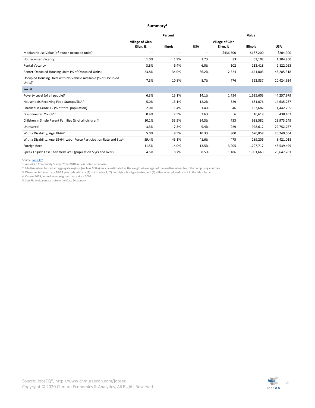#### **Summary1**

|                                                                                    |                        | Percent  | Value      |                        |           |            |  |
|------------------------------------------------------------------------------------|------------------------|----------|------------|------------------------|-----------|------------|--|
|                                                                                    | <b>Village of Glen</b> |          |            | <b>Village of Glen</b> |           |            |  |
|                                                                                    | Ellyn, IL              | Illinois | <b>USA</b> | Ellyn, IL              | Illinois  | <b>USA</b> |  |
| Median House Value (of owner-occupied units) <sup>2</sup>                          |                        | -        | -          | \$436,500              | \$187,200 | \$204,900  |  |
| Homeowner Vacancy                                                                  | 1.0%                   | 1.9%     | 1.7%       | 83                     | 63,102    | 1,304,850  |  |
| Rental Vacancy                                                                     | 3.8%                   | 6.4%     | 6.0%       | 102                    | 113,418   | 2,822,053  |  |
| Renter-Occupied Housing Units (% of Occupied Units)                                | 23.8%                  | 34.0%    | 36.2%      | 2,524                  | 1,641,003 | 43,285,318 |  |
| Occupied Housing Units with No Vehicle Available (% of Occupied<br>Units $)^5$     | 7.3%                   | 10.8%    | 8.7%       | 776                    | 522,837   | 10,424,934 |  |
| <b>Social</b>                                                                      |                        |          |            |                        |           |            |  |
| Poverty Level (of all people) <sup>5</sup>                                         | 6.3%                   | 13.1%    | 14.1%      | 1,754                  | 1,635,603 | 44,257,979 |  |
| Households Receiving Food Stamps/SNAP                                              | 5.0%                   | 13.1%    | 12.2%      | 529                    | 631,076   | 14,635,287 |  |
| Enrolled in Grade 12 (% of total population)                                       | 2.0%                   | 1.4%     | 1.4%       | 546                    | 183,682   | 4,442,295  |  |
| Disconnected Youth <sup>3,5</sup>                                                  | 0.4%                   | 2.5%     | 2.6%       | 6                      | 16,618    | 438,452    |  |
| Children in Single Parent Families (% of all children) <sup>5</sup>                | 10.1%                  | 33.5%    | 34.3%      | 753                    | 938,582   | 23,973,249 |  |
| Uninsured                                                                          | 3.3%                   | 7.3%     | 9.4%       | 929                    | 928,612   | 29,752,767 |  |
| With a Disability, Age 18-64 <sup>5</sup>                                          | 5.0%                   | 8.5%     | 10.3%      | 800                    | 670,858   | 20,240,504 |  |
| With a Disability, Age 18-64, Labor Force Participation Rate and Size <sup>5</sup> | 59.4%                  | 43.1%    | 41.6%      | 475                    | 289,206   | 8,421,018  |  |
| Foreign Born                                                                       | 11.5%                  | 14.0%    | 13.5%      | 3,205                  | 1,797,717 | 43,539,499 |  |
| Speak English Less Than Very Well (population 5 yrs and over)                      | 4.5%                   | 8.7%     | 8.5%       | 1,186                  | 1,051,663 | 25,647,781 |  |

Source: <u>JobsEQ®</u><br>2. American Community Survey 2014-2018, unless noted otherwise<br>2. Median values for certain aggregate regions (such as MSAs) may be estimated as the weighted averages of the median values from the composi

5. See Rio Arriba errata note in the Data Dictionary.

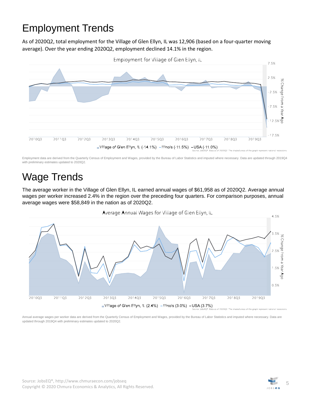### <span id="page-4-0"></span>Employment Trends

As of 2020Q2, total employment for the Village of Glen Ellyn, IL was 12,906 (based on a four-quarter moving average). Over the year ending 2020Q2, employment declined 14.1% in the region.



Employment data are derived from the Quarterly Census of Employment and Wages, provided by the Bureau of Labor Statistics and imputed where necessary. Data are updated through 2019Q4 with preliminary estimates updated to 2020Q2.

### <span id="page-4-1"></span>Wage Trends

The average worker in the Village of Glen Ellyn, IL earned annual wages of \$61,958 as of 2020Q2. Average annual wages per worker increased 2.4% in the region over the preceding four quarters. For comparison purposes, annual average wages were \$58,849 in the nation as of 2020Q2.



Annual average wages per worker data are derived from the Quarterly Census of Employment and Wages, provided by the Bureau of Labor Statistics and imputed where necessary. Data are updated through 2019Q4 with preliminary estimates updated to 2020Q2.

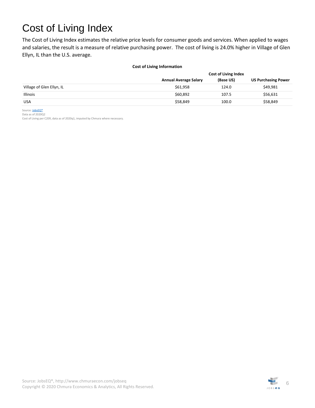### <span id="page-5-0"></span>Cost of Living Index

The Cost of Living Index estimates the relative price levels for consumer goods and services. When applied to wages and salaries, the result is a measure of relative purchasing power. The cost of living is 24.0% higher in Village of Glen Ellyn, IL than the U.S. average.

#### **Cost of Living Information**

|                           |                              | <b>Cost of Living Index</b> |                            |
|---------------------------|------------------------------|-----------------------------|----------------------------|
|                           | <b>Annual Average Salary</b> | (Base US)                   | <b>US Purchasing Power</b> |
| Village of Glen Ellyn, IL | \$61.958                     | 124.0                       | \$49,981                   |
| <b>Illinois</b>           | \$60,892                     | 107.5                       | \$56,631                   |
| <b>USA</b>                | \$58,849                     | 100.0                       | \$58,849                   |

Source[: JobsEQ®](http://www.chmuraecon.com/jobseq) Data as of 2020Q2

Cost of Living per C2ER, data as of 2020q1, imputed by Chmura where necessary.

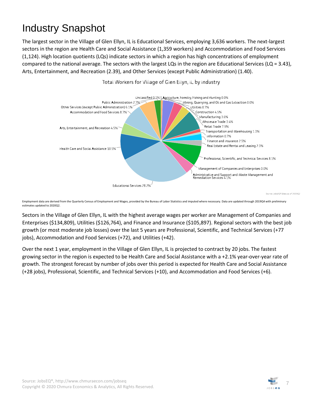### <span id="page-6-0"></span>Industry Snapshot

The largest sector in the Village of Glen Ellyn, IL is Educational Services, employing 3,636 workers. The next-largest sectors in the region are Health Care and Social Assistance (1,359 workers) and Accommodation and Food Services (1,124). High location quotients (LQs) indicate sectors in which a region has high concentrations of employment compared to the national average. The sectors with the largest LQs in the region are Educational Services (LQ = 3.43), Arts, Entertainment, and Recreation (2.39), and Other Services (except Public Administration) (1.40).



Total Workers for Village of Glen Ellyn, IL by Industry

Employment data are derived from the Quarterly Census of Employment and Wages, provided by the Bureau of Labor Statistics and imputed where necessary. Data are updated through 2019Q4 with preliminary estimates updated to 2020Q2.

Sectors in the Village of Glen Ellyn, IL with the highest average wages per worker are Management of Companies and Enterprises (\$134,809), Utilities (\$126,764), and Finance and Insurance (\$105,897). Regional sectors with the best job growth (or most moderate job losses) over the last 5 years are Professional, Scientific, and Technical Services (+77 jobs), Accommodation and Food Services (+72), and Utilities (+42).

Over the next 1 year, employment in the Village of Glen Ellyn, IL is projected to contract by 20 jobs. The fastest growing sector in the region is expected to be Health Care and Social Assistance with a +2.1% year-over-year rate of growth. The strongest forecast by number of jobs over this period is expected for Health Care and Social Assistance (+28 jobs), Professional, Scientific, and Technical Services (+10), and Accommodation and Food Services (+6).

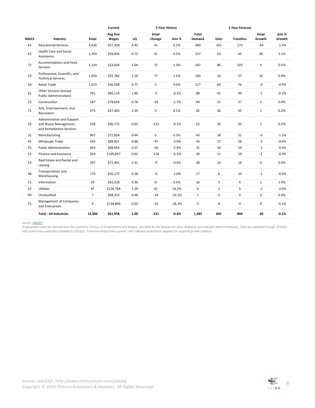|              |                                                                                |                | Current   |      | 5-Year History |          |              | 1-Year Forecast |                  |                |         |  |
|--------------|--------------------------------------------------------------------------------|----------------|-----------|------|----------------|----------|--------------|-----------------|------------------|----------------|---------|--|
|              |                                                                                |                | Avg Ann   |      | Empl           |          | Total        |                 |                  | Empl           | Ann %   |  |
| <b>NAICS</b> | Industry                                                                       | Empl           | Wages     | LQ   | Change         | Ann %    | Demand       | <b>Exits</b>    | <b>Transfers</b> | Growth         | Growth  |  |
| 61           | <b>Educational Services</b>                                                    | 3,636          | \$57,358  | 3.43 | 31             | 0.2%     | 280          | 161             | 173              | $-54$          | $-1.5%$ |  |
| 62           | <b>Health Care and Social</b><br>Assistance                                    | 1,359          | \$59,836  | 0.72 | 31             | 0.5%     | 157          | 63              | 65               | 28             | 2.1%    |  |
| 72           | <b>Accommodation and Food</b><br>Services                                      | 1,124          | \$23,650  | 1.04 | 72             | 1.3%     | 187          | 80              | 101              | 6              | 0.5%    |  |
| 54           | Professional, Scientific, and<br><b>Technical Services</b>                     | 1,050          | \$92,782  | 1.18 | 77             | 1.5%     | 100          | 33              | 57               | 10             | 0.9%    |  |
| 44           | <b>Retail Trade</b>                                                            | 1,019          | \$36,589  | 0.77 | $\overline{2}$ | 0.0%     | 127          | 60              | 76               | -9             | $-0.9%$ |  |
| 81           | Other Services (except<br><b>Public Administration)</b>                        | 791            | \$40,114  | 1.40 | $-5$           | $-0.1%$  | 88           | 41              | 49               | $-2$           | $-0.2%$ |  |
| 23           | Construction                                                                   | 587            | \$79,664  | 0.78 | $-54$          | $-1.7%$  | 60           | 21              | 37               | $\overline{2}$ | 0.4%    |  |
| 71           | Arts, Entertainment, and<br>Recreation                                         | 575            | \$27,465  | 2.39 | $\overline{4}$ | 0.1%     | 82           | 36              | 45               | $\mathbf{1}$   | 0.2%    |  |
| 56           | Administrative and Support<br>and Waste Management<br>and Remediation Services | 526            | \$46,725  | 0.65 | $-123$         | $-4.1%$  | 62           | 26              | 35               | $\mathbf{1}$   | 0.2%    |  |
| 31           | Manufacturing                                                                  | 467            | \$72,854  | 0.44 | 6              | 0.3%     | 43           | 18              | 31               | -6             | $-1.2%$ |  |
| 42           | <b>Wholesale Trade</b>                                                         | 435            | \$89,951  | 0.88 | $-97$          | $-3.9%$  | 43           | 17              | 28               | $-3$           | $-0.6%$ |  |
| 92           | <b>Public Administration</b>                                                   | 354            | \$68,854  | 0.57 | $-56$          | $-2.9%$  | 31           | 14              | 19               | $-1$           | $-0.3%$ |  |
| 52           | Finance and Insurance                                                          | 324            | \$105,897 | 0.62 | $-124$         | $-6.3%$  | 29           | 11              | 19               | $-1$           | $-0.3%$ |  |
| 53           | Real Estate and Rental and<br>Leasing                                          | 297            | \$72,401  | 1.31 | -9             | $-0.6%$  | 30           | 14              | 16               | 0              | 0.0%    |  |
| 48           | Transportation and<br>Warehousing                                              | 170            | \$56,272  | 0.28 | -9             | $-1.0%$  | 17           | 8               | 10               | $-1$           | $-0.5%$ |  |
| 51           | Information                                                                    | 93             | \$43,318  | 0.36 | 15             | 3.5%     | 10           | 3               | 6                | $\mathbf{1}$   | 1.4%    |  |
| 22           | <b>Utilities</b>                                                               | 87             | \$126,764 | 1.29 | 42             | 14.2%    | 6            | 3               | 5                | $-2$           | $-2.0%$ |  |
| 99           | Unclassified                                                                   | $\overline{7}$ | \$68,315  | 0.48 | $-18$          | $-22.2%$ | $\mathbf{1}$ | 0               | $\mathbf 0$      | $\mathbf 0$    | 0.0%    |  |
| 55           | Management of Companies<br>and Enterprises                                     | 4              | \$134,809 | 0.02 | $-16$          | $-26.2%$ | 0            | 0               | 0                | 0              | $-0.1%$ |  |
|              | <b>Total - All Industries</b>                                                  | 12,906         | \$61,958  | 1.00 | $-231$         | $-0.4%$  | 1,385        | 601             | 804              | -20            | $-0.2%$ |  |

Source: <u>JobsEQ®</u><br>Employment data are derived from the Quarterly Census of Employment and Wages, provided by the Bureau of Labor Statistics and imputed where necessary. Data are updated through 2019Q4 with preliminary estimates updated to 2020Q2. Forecast employment growth uses national projections adapted for regional growth patterns.

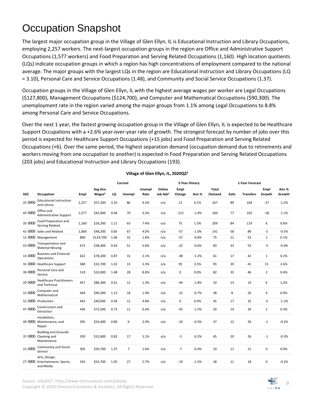### <span id="page-8-0"></span>Occupation Snapshot

The largest major occupation group in the Village of Glen Ellyn, IL is Educational Instruction and Library Occupations, employing 2,257 workers. The next-largest occupation groups in the region are Office and Administrative Support Occupations (1,577 workers) and Food Preparation and Serving Related Occupations (1,160). High location quotients (LQs) indicate occupation groups in which a region has high concentrations of employment compared to the national average. The major groups with the largest LQs in the region are Educational Instruction and Library Occupations (LQ = 3.10), Personal Care and Service Occupations (1.48), and Community and Social Service Occupations (1.37).

Occupation groups in the Village of Glen Ellyn, IL with the highest average wages per worker are Legal Occupations (\$127,800), Management Occupations (\$124,700), and Computer and Mathematical Occupations (\$90,300). The unemployment rate in the region varied among the major groups from 1.1% among Legal Occupations to 8.8% among Personal Care and Service Occupations.

Over the next 1 year, the fastest growing occupation group in the Village of Glen Ellyn, IL is expected to be Healthcare Support Occupations with a +2.6% year-over-year rate of growth. The strongest forecast by number of jobs over this period is expected for Healthcare Support Occupations (+15 jobs) and Food Preparation and Serving Related Occupations (+6). Over the same period, the highest separation demand (occupation demand due to retirements and workers moving from one occupation to another) is expected in Food Preparation and Serving Related Occupations (203 jobs) and Educational Instruction and Library Occupations (193).

|            |                                                                    |       |                               |      | Current        |                | 5-Year History                 |                |         |                 | 1-Year Forecast |                  |                |                 |
|------------|--------------------------------------------------------------------|-------|-------------------------------|------|----------------|----------------|--------------------------------|----------------|---------|-----------------|-----------------|------------------|----------------|-----------------|
| <b>SOC</b> | Occupation                                                         | Empl  | Avg Ann<br>Wages <sup>2</sup> | LQ   | Unempl         | Unempl<br>Rate | Online<br>Job Ads <sup>3</sup> | Empl<br>Change | Ann %   | Total<br>Demand | <b>Exits</b>    | <b>Transfers</b> | Empl<br>Growth | Ann %<br>Growth |
| 25-0000    | <b>Educational Instruction</b><br>and Library                      | 2,257 | \$57,200                      | 3.10 | 86             | 4.2%           | n/a                            | 12             | 0.1%    | 167             | 89              | 104              | $-27$          | $-1.2%$         |
| 43-0000    | Office and<br><b>Administrative Support</b>                        | 1,577 | \$42,900                      | 0.96 | 70             | 3.5%           | n/a                            | $-115$         | $-1.4%$ | 160             | 77              | 102              | $-18$          | $-1.1%$         |
| 35-0000    | Food Preparation and<br>Serving Related                            | 1,160 | \$26,200                      | 1.11 | 63             | 7.4%           | n/a                            | 75             | 1.3%    | 209             | 84              | 119              | 6              | 0.6%            |
|            | 41-0000 Sales and Related                                          | 1,060 | \$48,200                      | 0.85 | 67             | 4.0%           | n/a                            | $-57$          | $-1.0%$ | 141             | 58              | 89               | $-5$           | $-0.5%$         |
|            | 11-0000 Management                                                 | 890   | \$124,700                     | 1.06 | 32             | 1.8%           | n/a                            | $-37$          | $-0.8%$ | 75              | 21              | 53               | $\mathbf 1$    | 0.1%            |
| 53-0000    | Transportation and<br><b>Material Moving</b>                       | 672   | \$38,400                      | 0.63 | 51             | 5.6%           | n/a                            | $-22$          | $-0.6%$ | 83              | 33              | 53               | -3             | $-0.4%$         |
| 13-0000    | <b>Business and Financial</b><br>Operations                        | 622   | \$78,200                      | 0.87 | 31             | 2.1%           | n/a                            | $-38$          | $-1.2%$ | 61              | 17              | 42               | $\mathbf{1}$   | 0.2%            |
|            | 31-0000 Healthcare Support                                         | 580   | \$32,700                      | 1.02 | 13             | 3.3%           | n/a                            | 93             | 3.5%    | 95              | 39              | 41               | 15             | 2.6%            |
| 39-0000    | Personal Care and<br>Service                                       | 519   | \$32,000                      | 1.48 | 28             | 8.8%           | n/a                            | $\mathbf 0$    | 0.0%    | 82              | 35              | 46               | $\overline{2}$ | 0.4%            |
| 29-0000    | <b>Healthcare Practitioners</b><br>and Technical                   | 457   | \$86,300                      | 0.61 | 12             | 1.3%           | n/a                            | $-44$          | $-1.8%$ | 33              | 13              | 14               | 6              | 1.2%            |
| 15-0000    | Computer and<br>Mathematical                                       | 444   | \$90,300                      | 1.13 | 18             | 1.9%           | n/a                            | $-15$          | $-0.7%$ | 38              | 8               | 26               | $\overline{4}$ | 0.9%            |
|            | 51-0000 Production                                                 | 442   | \$40,600                      | 0.58 | 12             | 4.8%           | n/a                            | $\mathbf 0$    | 0.0%    | 45              | 17              | 32               | -5             | $-1.1%$         |
| 47-0000    | Construction and<br>Extraction                                     | 436   | \$72,500                      | 0.73 | 11             | 6.4%           | n/a                            | $-35$          | $-1.5%$ | 50              | 14              | 34               | $\overline{2}$ | 0.3%            |
|            | Installation,<br>49-0000 Maintenance, and<br>Repair                | 395   | \$54,400                      | 0.80 | 6              | 2.9%           | n/a                            | $-10$          | $-0.5%$ | 37              | 12              | 26               | $-1$           | $-0.2%$         |
|            | <b>Building and Grounds</b><br>37-0000 Cleaning and<br>Maintenance | 359   | \$32,800                      | 0.82 | 17             | 5.1%           | n/a                            | -3             | $-0.2%$ | 45              | 20              | 26               | $-1$           | $-0.3%$         |
| 21-0000    | Community and Social<br>Service                                    | 305   | \$50,700                      | 1.37 | $\overline{7}$ | 1.6%           | n/a                            | $-7$           | $-0.4%$ | 33              | 11              | 21               | 0              | 0.0%            |
|            | Arts, Design,<br>27-0000 Entertainment, Sports,<br>and Media       | 245   | \$55,700                      | 1.05 | 27             | 5.7%           | n/a                            | $-19$          | $-1.5%$ | 28              | 11              | 18               | 0              | $-0.2%$         |

#### **Village of Glen Ellyn, IL, 2020Q21**

Source[: JobsEQ®](http://www.chmuraecon.com/jobseq),<http://www.chmuraecon.com/jobseq>

Copyright © 2020 [Chmura Economics & Analytics,](http://www.chmuraecon.com/) All Rights Reserved. <sup>9</sup>

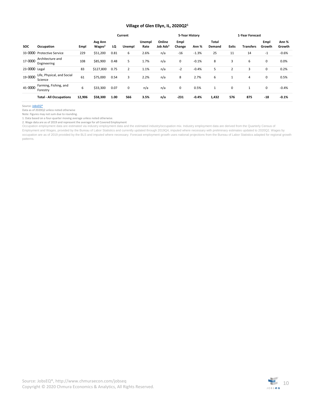#### **Village of Glen Ellyn, IL, 2020Q21**

|               |                                       |        |                               | Current |                |                | 5-Year History                 |                |         |                 | 1-Year Forecast |                  |                |                 |
|---------------|---------------------------------------|--------|-------------------------------|---------|----------------|----------------|--------------------------------|----------------|---------|-----------------|-----------------|------------------|----------------|-----------------|
| <b>SOC</b>    | Occupation                            | Empl   | Avg Ann<br>Wages <sup>2</sup> | LQ      | Unempl         | Unempl<br>Rate | Online<br>Job Ads <sup>3</sup> | Empl<br>Change | Ann %   | Total<br>Demand | <b>Exits</b>    | <b>Transfers</b> | Empl<br>Growth | Ann %<br>Growth |
| 33-0000       | <b>Protective Service</b>             | 229    | \$51,200                      | 0.81    | 6              | 2.6%           | n/a                            | $-16$          | $-1.3%$ | 25              | 11              | 14               | $-1$           | $-0.6%$         |
| 17-0000       | Architecture and<br>Engineering       | 108    | \$85,900                      | 0.48    | 5              | 1.7%           | n/a                            | 0              | $-0.1%$ | 8               | 3               | 6                | 0              | 0.0%            |
| 23-0000 Legal |                                       | 83     | \$127,800                     | 0.75    | $\overline{2}$ | 1.1%           | n/a                            | $-2$           | $-0.4%$ | 5               |                 | 3                | 0              | 0.2%            |
| 19-0000       | Life, Physical, and Social<br>Science | 61     | \$75,000                      | 0.54    | 3              | 2.2%           | n/a                            | 8              | 2.7%    | 6               |                 | 4                | 0              | 0.5%            |
| 45-0000       | Farming, Fishing, and<br>Forestry     | 6      | \$33,300                      | 0.07    | 0              | n/a            | n/a                            | 0              | 0.5%    | 1               | 0               | 1                | 0              | $-0.4%$         |
|               | <b>Total - All Occupations</b>        | 12.906 | \$58,300                      | 1.00    | 566            | 3.5%           | n/a                            | $-231$         | $-0.4%$ | 1,432           | 576             | 875              | $-18$          | $-0.1%$         |

Source[: JobsEQ®](http://www.chmuraecon.com/jobseq)

Data as of 2020Q2 unless noted otherwise

Note: Figures may not sum due to rounding.

1. Data based on a four-quarter moving average unless noted otherwise.

2. Wage data are as of 2019 and represent the average for all Covered Employment Occupation employment data are estimated via industry employment data and the estimated industry/occupation mix. Industry employment data are derived from the Quarterly Census of

Employment and Wages, provided by the Bureau of Labor Statistics and currently updated through 2019Q4, imputed where necessary with preliminary estimates updated to 2020Q2. Wages by occupation are as of 2019 provided by the BLS and imputed where necessary. Forecast employment growth uses national projections from the Bureau of Labor Statistics adapted for regional growth patterns.

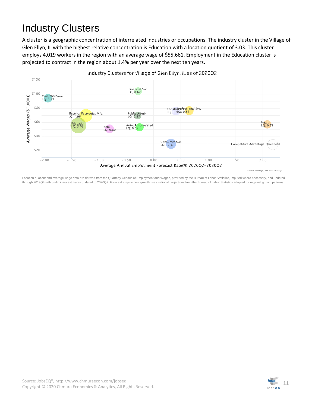### <span id="page-10-0"></span>Industry Clusters

A cluster is a geographic concentration of interrelated industries or occupations. The industry cluster in the Village of Glen Ellyn, IL with the highest relative concentration is Education with a location quotient of 3.03. This cluster employs 4,019 workers in the region with an average wage of \$55,661. Employment in the Education cluster is projected to contract in the region about 1.4% per year over the next ten years.



Industry Clusters for Village of Glen Ellyn, IL as of 2020Q2

Source: JobsEQ®,Data as of 2020Q2

Location quotient and average wage data are derived from the Quarterly Census of Employment and Wages, provided by the Bureau of Labor Statistics, imputed where necessary, and updated through 2019Q4 with preliminary estimates updated to 2020Q2. Forecast employment growth uses national projections from the Bureau of Labor Statistics adapted for regional growth patterns.

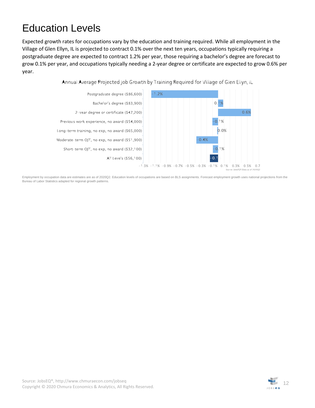### <span id="page-11-0"></span>Education Levels

Expected growth rates for occupations vary by the education and training required. While all employment in the Village of Glen Ellyn, IL is projected to contract 0.1% over the next ten years, occupations typically requiring a postgraduate degree are expected to contract 1.2% per year, those requiring a bachelor's degree are forecast to grow 0.1% per year, and occupations typically needing a 2-year degree or certificate are expected to grow 0.6% per year.

Annual Average Projected Job Growth by Training Required for Village of Glen Ellyn, IL



Employment by occupation data are estimates are as of 2020Q2. Education levels of occupations are based on BLS assignments. Forecast employment growth uses national projections from the Bureau of Labor Statistics adapted for regional growth patterns.

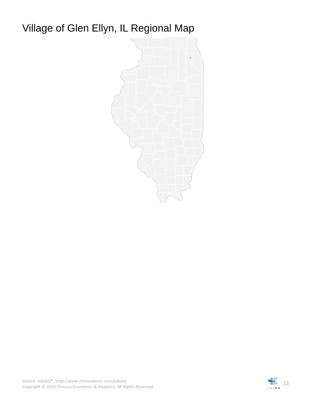### <span id="page-12-0"></span>Village of Glen Ellyn, IL Regional Map